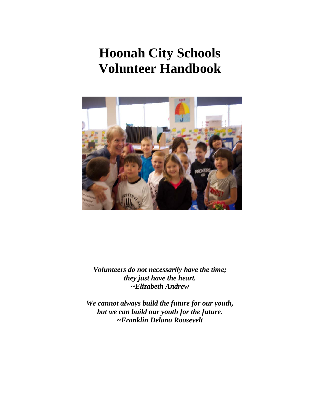# **Hoonah City Schools Volunteer Handbook**



*Volunteers do not necessarily have the time; they just have the heart. ~Elizabeth Andrew*

*We cannot always build the future for our youth, but we can build our youth for the future. ~Franklin Delano Roosevelt*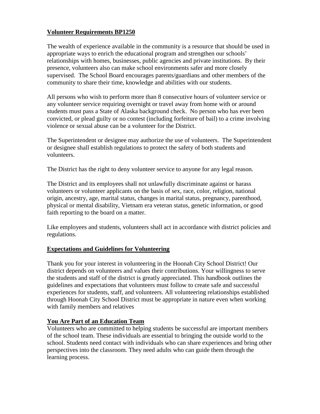## **Volunteer Requirements BP1250**

The wealth of experience available in the community is a resource that should be used in appropriate ways to enrich the educational program and strengthen our schools' relationships with homes, businesses, public agencies and private institutions. By their presence, volunteers also can make school environments safer and more closely supervised. The School Board encourages parents/guardians and other members of the community to share their time, knowledge and abilities with our students.

All persons who wish to perform more than 8 consecutive hours of volunteer service or any volunteer service requiring overnight or travel away from home with or around students must pass a State of Alaska background check. No person who has ever been convicted, or plead guilty or no contest (including forfeiture of bail) to a crime involving violence or sexual abuse can be a volunteer for the District.

The Superintendent or designee may authorize the use of volunteers. The Superintendent or designee shall establish regulations to protect the safety of both students and volunteers.

The District has the right to deny volunteer service to anyone for any legal reason.

The District and its employees shall not unlawfully discriminate against or harass volunteers or volunteer applicants on the basis of sex, race, color, religion, national origin, ancestry, age, marital status, changes in marital status, pregnancy, parenthood, physical or mental disability, Vietnam era veteran status, genetic information, or good faith reporting to the board on a matter.

Like employees and students, volunteers shall act in accordance with district policies and regulations.

## **Expectations and Guidelines for Volunteering**

Thank you for your interest in volunteering in the Hoonah City School District! Our district depends on volunteers and values their contributions. Your willingness to serve the students and staff of the district is greatly appreciated. This handbook outlines the guidelines and expectations that volunteers must follow to create safe and successful experiences for students, staff, and volunteers. All volunteering relationships established through Hoonah City School District must be appropriate in nature even when working with family members and relatives

## **You Are Part of an Education Team**

Volunteers who are committed to helping students be successful are important members of the school team. These individuals are essential to bringing the outside world to the school. Students need contact with individuals who can share experiences and bring other perspectives into the classroom. They need adults who can guide them through the learning process.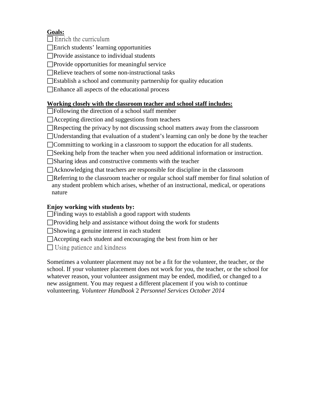# **Goals:**

 $\Box$  Enrich the curriculum

Enrich students' learning opportunities

 $\Box$ Provide assistance to individual students

Provide opportunities for meaningful service

Relieve teachers of some non-instructional tasks

 $\Box$ Establish a school and community partnership for quality education

Enhance all aspects of the educational process

# **Working closely with the classroom teacher and school staff includes:**

Following the direction of a school staff member

Accepting direction and suggestions from teachers

 $\Box$ Respecting the privacy by not discussing school matters away from the classroom

Understanding that evaluation of a student's learning can only be done by the teacher

Committing to working in a classroom to support the education for all students.

Seeking help from the teacher when you need additional information or instruction.

Sharing ideas and constructive comments with the teacher

Acknowledging that teachers are responsible for discipline in the classroom

Referring to the classroom teacher or regular school staff member for final solution of any student problem which arises, whether of an instructional, medical, or operations nature

# **Enjoy working with students by:**

 $\Box$  Finding ways to establish a good rapport with students

 $\Box$ Providing help and assistance without doing the work for students

Showing a genuine interest in each student

□Accepting each student and encouraging the best from him or her

 $\Box$  Using patience and kindness

Sometimes a volunteer placement may not be a fit for the volunteer, the teacher, or the school. If your volunteer placement does not work for you, the teacher, or the school for whatever reason, your volunteer assignment may be ended, modified, or changed to a new assignment. You may request a different placement if you wish to continue volunteering. *Volunteer Handbook* 2 *Personnel Services October 2014*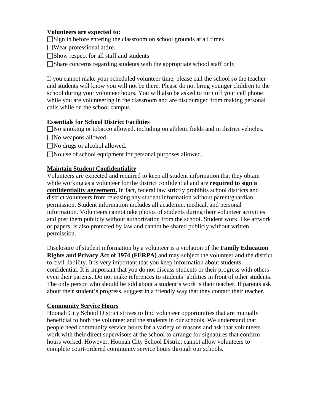## **Volunteers are expected to:**

 $\Box$ Sign in before entering the classroom on school grounds at all times

- Wear professional attire.
- Show respect for all staff and students
- Share concerns regarding students with the appropriate school staff only

If you cannot make your scheduled volunteer time, please call the school so the teacher and students will know you will not be there. Please do not bring younger children to the school during your volunteer hours. You will also be asked to turn off your cell phone while you are volunteering in the classroom and are discouraged from making personal calls while on the school campus.

#### **Essentials for School District Facilities**

No smoking or tobacco allowed, including on athletic fields and in district vehicles.

- No weapons allowed.
- No drugs or alcohol allowed.
- No use of school equipment for personal purposes allowed.

#### **Maintain Student Confidentiality**

Volunteers are expected and required to keep all student information that they obtain while working as a volunteer for the district confidential and are **required to sign a confidentiality agreement.** In fact, federal law strictly prohibits school districts and district volunteers from releasing any student information without parent/guardian permission. Student information includes all academic, medical, and personal information. Volunteers cannot take photos of students during their volunteer activities and post them publicly without authorization from the school. Student work, like artwork or papers, is also protected by law and cannot be shared publicly without written permission.

Disclosure of student information by a volunteer is a violation of the **Family Education Rights and Privacy Act of 1974 (FERPA)** and may subject the volunteer and the district to civil liability. It is very important that you keep information about students confidential. It is important that you do not discuss students or their progress with others even their parents. Do not make references to students' abilities in front of other students. The only person who should be told about a student's work is their teacher. If parents ask about their student's progress, suggest in a friendly way that they contact their teacher.

#### **Community Service Hours**

Hoonah City School District strives to find volunteer opportunities that are mutually beneficial to both the volunteer and the students in our schools. We understand that people need community service hours for a variety of reasons and ask that volunteers work with their direct supervisors at the school to arrange for signatures that confirm hours worked. However, Hoonah City School District cannot allow volunteers to complete court-ordered community service hours through our schools.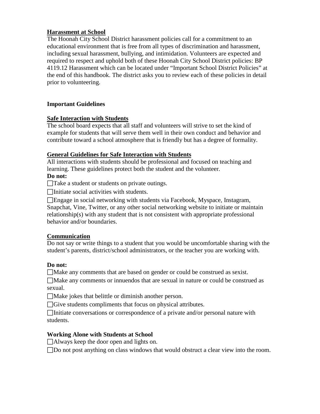#### **Harassment at School**

The Hoonah City School District harassment policies call for a commitment to an educational environment that is free from all types of discrimination and harassment, including sexual harassment, bullying, and intimidation. Volunteers are expected and required to respect and uphold both of these Hoonah City School District policies: BP 4119.12 Harassment which can be located under "Important School District Policies" at the end of this handbook. The district asks you to review each of these policies in detail prior to volunteering.

#### **Important Guidelines**

#### **Safe Interaction with Students**

The school board expects that all staff and volunteers will strive to set the kind of example for students that will serve them well in their own conduct and behavior and contribute toward a school atmosphere that is friendly but has a degree of formality.

#### **General Guidelines for Safe Interaction with Students**

All interactions with students should be professional and focused on teaching and learning. These guidelines protect both the student and the volunteer.

#### **Do not:**

Take a student or students on private outings.

 $\Box$ Initiate social activities with students.

Engage in social networking with students via Facebook, Myspace, Instagram, Snapchat, Vine, Twitter, or any other social networking website to initiate or maintain relationship(s) with any student that is not consistent with appropriate professional behavior and/or boundaries.

#### **Communication**

Do not say or write things to a student that you would be uncomfortable sharing with the student's parents, district/school administrators, or the teacher you are working with.

## **Do not:**

Make any comments that are based on gender or could be construed as sexist.

Make any comments or innuendos that are sexual in nature or could be construed as sexual.

Make jokes that belittle or diminish another person.

Give students compliments that focus on physical attributes.

Initiate conversations or correspondence of a private and/or personal nature with students.

## **Working Alone with Students at School**

Always keep the door open and lights on.

□Do not post anything on class windows that would obstruct a clear view into the room.